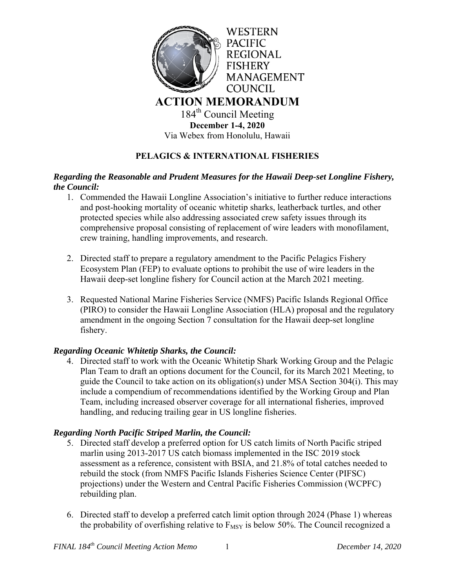

## **PELAGICS & INTERNATIONAL FISHERIES**

### *Regarding the Reasonable and Prudent Measures for the Hawaii Deep-set Longline Fishery, the Council:*

- 1. Commended the Hawaii Longline Association's initiative to further reduce interactions and post-hooking mortality of oceanic whitetip sharks, leatherback turtles, and other protected species while also addressing associated crew safety issues through its comprehensive proposal consisting of replacement of wire leaders with monofilament, crew training, handling improvements, and research.
- 2. Directed staff to prepare a regulatory amendment to the Pacific Pelagics Fishery Ecosystem Plan (FEP) to evaluate options to prohibit the use of wire leaders in the Hawaii deep-set longline fishery for Council action at the March 2021 meeting.
- 3. Requested National Marine Fisheries Service (NMFS) Pacific Islands Regional Office (PIRO) to consider the Hawaii Longline Association (HLA) proposal and the regulatory amendment in the ongoing Section 7 consultation for the Hawaii deep-set longline fishery.

### *Regarding Oceanic Whitetip Sharks, the Council:*

4. Directed staff to work with the Oceanic Whitetip Shark Working Group and the Pelagic Plan Team to draft an options document for the Council, for its March 2021 Meeting, to guide the Council to take action on its obligation(s) under MSA Section 304(i). This may include a compendium of recommendations identified by the Working Group and Plan Team, including increased observer coverage for all international fisheries, improved handling, and reducing trailing gear in US longline fisheries.

### *Regarding North Pacific Striped Marlin, the Council:*

- 5. Directed staff develop a preferred option for US catch limits of North Pacific striped marlin using 2013-2017 US catch biomass implemented in the ISC 2019 stock assessment as a reference, consistent with BSIA, and 21.8% of total catches needed to rebuild the stock (from NMFS Pacific Islands Fisheries Science Center (PIFSC) projections) under the Western and Central Pacific Fisheries Commission (WCPFC) rebuilding plan.
- 6. Directed staff to develop a preferred catch limit option through 2024 (Phase 1) whereas the probability of overfishing relative to  $F_{MSY}$  is below 50%. The Council recognized a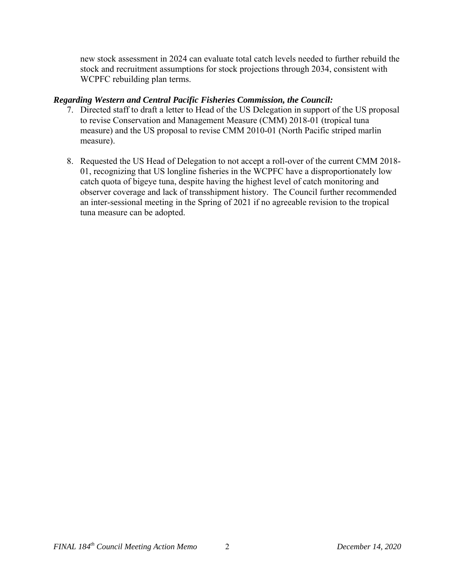new stock assessment in 2024 can evaluate total catch levels needed to further rebuild the stock and recruitment assumptions for stock projections through 2034, consistent with WCPFC rebuilding plan terms.

### *Regarding Western and Central Pacific Fisheries Commission, the Council:*

- 7. Directed staff to draft a letter to Head of the US Delegation in support of the US proposal to revise Conservation and Management Measure (CMM) 2018-01 (tropical tuna measure) and the US proposal to revise CMM 2010-01 (North Pacific striped marlin measure).
- 8. Requested the US Head of Delegation to not accept a roll-over of the current CMM 2018- 01, recognizing that US longline fisheries in the WCPFC have a disproportionately low catch quota of bigeye tuna, despite having the highest level of catch monitoring and observer coverage and lack of transshipment history. The Council further recommended an inter-sessional meeting in the Spring of 2021 if no agreeable revision to the tropical tuna measure can be adopted.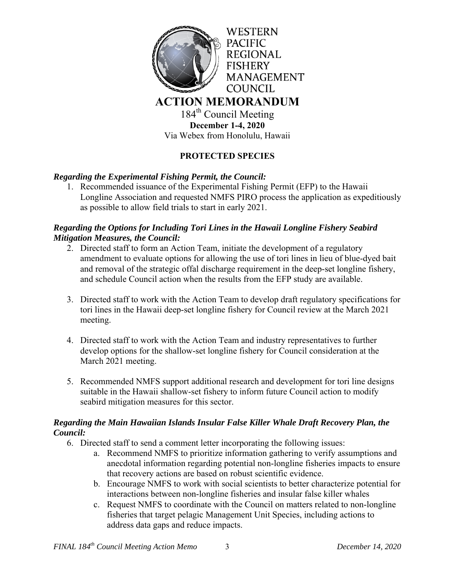

184<sup>th</sup> Council Meeting **December 1-4, 2020**  Via Webex from Honolulu, Hawaii

# **PROTECTED SPECIES**

### *Regarding the Experimental Fishing Permit, the Council:*

1. Recommended issuance of the Experimental Fishing Permit (EFP) to the Hawaii Longline Association and requested NMFS PIRO process the application as expeditiously as possible to allow field trials to start in early 2021.

### *Regarding the Options for Including Tori Lines in the Hawaii Longline Fishery Seabird Mitigation Measures, the Council:*

- 2. Directed staff to form an Action Team, initiate the development of a regulatory amendment to evaluate options for allowing the use of tori lines in lieu of blue-dyed bait and removal of the strategic offal discharge requirement in the deep-set longline fishery, and schedule Council action when the results from the EFP study are available.
- 3. Directed staff to work with the Action Team to develop draft regulatory specifications for tori lines in the Hawaii deep-set longline fishery for Council review at the March 2021 meeting.
- 4. Directed staff to work with the Action Team and industry representatives to further develop options for the shallow-set longline fishery for Council consideration at the March 2021 meeting.
- 5. Recommended NMFS support additional research and development for tori line designs suitable in the Hawaii shallow-set fishery to inform future Council action to modify seabird mitigation measures for this sector.

### *Regarding the Main Hawaiian Islands Insular False Killer Whale Draft Recovery Plan, the Council:*

- 6. Directed staff to send a comment letter incorporating the following issues:
	- a. Recommend NMFS to prioritize information gathering to verify assumptions and anecdotal information regarding potential non-longline fisheries impacts to ensure that recovery actions are based on robust scientific evidence.
	- b. Encourage NMFS to work with social scientists to better characterize potential for interactions between non-longline fisheries and insular false killer whales
	- c. Request NMFS to coordinate with the Council on matters related to non-longline fisheries that target pelagic Management Unit Species, including actions to address data gaps and reduce impacts.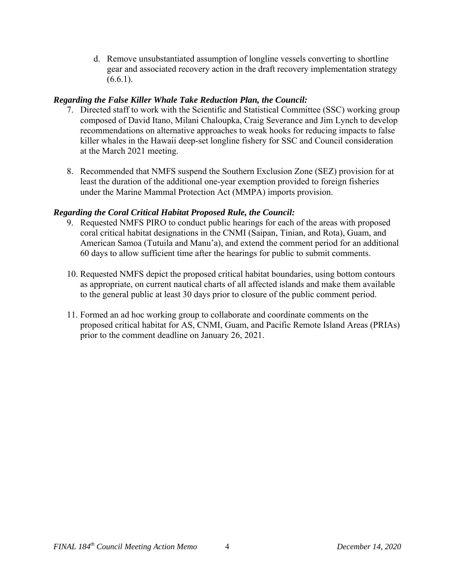d. Remove unsubstantiated assumption of longline vessels converting to shortline gear and associated recovery action in the draft recovery implementation strategy  $(6.6.1).$ 

## *Regarding the False Killer Whale Take Reduction Plan, the Council:*

- 7. Directed staff to work with the Scientific and Statistical Committee (SSC) working group composed of David Itano, Milani Chaloupka, Craig Severance and Jim Lynch to develop recommendations on alternative approaches to weak hooks for reducing impacts to false killer whales in the Hawaii deep-set longline fishery for SSC and Council consideration at the March 2021 meeting.
- 8. Recommended that NMFS suspend the Southern Exclusion Zone (SEZ) provision for at least the duration of the additional one-year exemption provided to foreign fisheries under the Marine Mammal Protection Act (MMPA) imports provision.

## *Regarding the Coral Critical Habitat Proposed Rule, the Council:*

- 9. Requested NMFS PIRO to conduct public hearings for each of the areas with proposed coral critical habitat designations in the CNMI (Saipan, Tinian, and Rota), Guam, and American Samoa (Tutuila and Manu'a), and extend the comment period for an additional 60 days to allow sufficient time after the hearings for public to submit comments.
- 10. Requested NMFS depict the proposed critical habitat boundaries, using bottom contours as appropriate, on current nautical charts of all affected islands and make them available to the general public at least 30 days prior to closure of the public comment period.
- 11. Formed an ad hoc working group to collaborate and coordinate comments on the proposed critical habitat for AS, CNMI, Guam, and Pacific Remote Island Areas (PRIAs) prior to the comment deadline on January 26, 2021.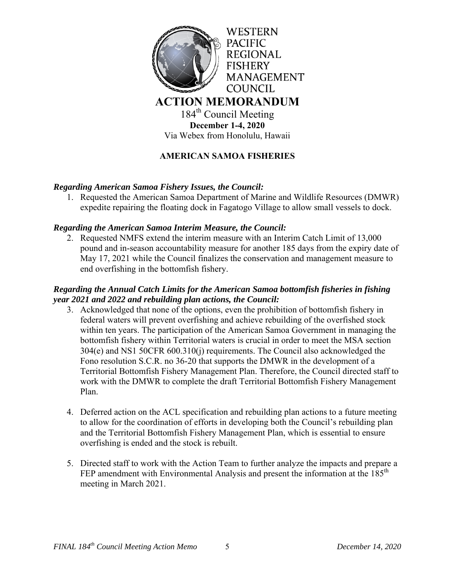

184<sup>th</sup> Council Meeting **December 1-4, 2020**  Via Webex from Honolulu, Hawaii

# **AMERICAN SAMOA FISHERIES**

#### *Regarding American Samoa Fishery Issues, the Council:*

1. Requested the American Samoa Department of Marine and Wildlife Resources (DMWR) expedite repairing the floating dock in Fagatogo Village to allow small vessels to dock.

#### *Regarding the American Samoa Interim Measure, the Council:*

2. Requested NMFS extend the interim measure with an Interim Catch Limit of 13,000 pound and in-season accountability measure for another 185 days from the expiry date of May 17, 2021 while the Council finalizes the conservation and management measure to end overfishing in the bottomfish fishery.

#### *Regarding the Annual Catch Limits for the American Samoa bottomfish fisheries in fishing year 2021 and 2022 and rebuilding plan actions, the Council:*

- 3. Acknowledged that none of the options, even the prohibition of bottomfish fishery in federal waters will prevent overfishing and achieve rebuilding of the overfished stock within ten years. The participation of the American Samoa Government in managing the bottomfish fishery within Territorial waters is crucial in order to meet the MSA section 304(e) and NS1 50CFR 600.310(j) requirements. The Council also acknowledged the Fono resolution S.C.R. no 36-20 that supports the DMWR in the development of a Territorial Bottomfish Fishery Management Plan. Therefore, the Council directed staff to work with the DMWR to complete the draft Territorial Bottomfish Fishery Management Plan.
- 4. Deferred action on the ACL specification and rebuilding plan actions to a future meeting to allow for the coordination of efforts in developing both the Council's rebuilding plan and the Territorial Bottomfish Fishery Management Plan, which is essential to ensure overfishing is ended and the stock is rebuilt.
- 5. Directed staff to work with the Action Team to further analyze the impacts and prepare a FEP amendment with Environmental Analysis and present the information at the  $185<sup>th</sup>$ meeting in March 2021.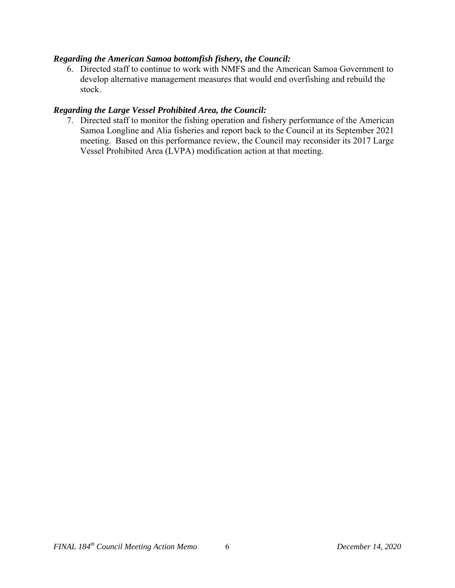#### *Regarding the American Samoa bottomfish fishery, the Council:*

6. Directed staff to continue to work with NMFS and the American Samoa Government to develop alternative management measures that would end overfishing and rebuild the stock.

#### *Regarding the Large Vessel Prohibited Area, the Council:*

7. Directed staff to monitor the fishing operation and fishery performance of the American Samoa Longline and Alia fisheries and report back to the Council at its September 2021 meeting. Based on this performance review, the Council may reconsider its 2017 Large Vessel Prohibited Area (LVPA) modification action at that meeting.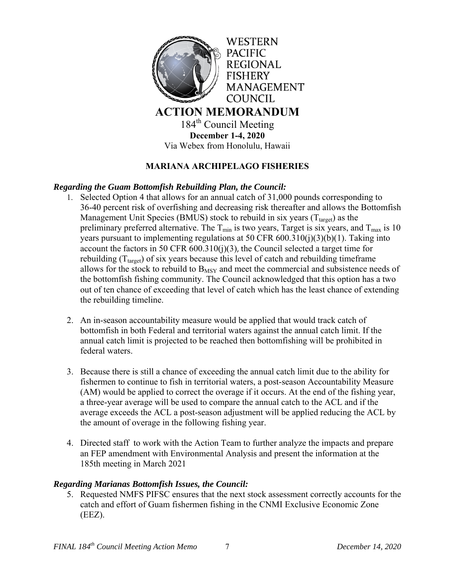

# **MARIANA ARCHIPELAGO FISHERIES**

### *Regarding the Guam Bottomfish Rebuilding Plan, the Council:*

- 1. Selected Option 4 that allows for an annual catch of 31,000 pounds corresponding to 36-40 percent risk of overfishing and decreasing risk thereafter and allows the Bottomfish Management Unit Species (BMUS) stock to rebuild in six years ( $T_{\text{target}}$ ) as the preliminary preferred alternative. The  $T_{min}$  is two years, Target is six years, and  $T_{max}$  is 10 years pursuant to implementing regulations at 50 CFR 600.310(j)(3)(b)(1). Taking into account the factors in 50 CFR  $600.310(i)(3)$ , the Council selected a target time for rebuilding  $(T<sub>target</sub>)$  of six years because this level of catch and rebuilding timeframe allows for the stock to rebuild to  $B_{MSY}$  and meet the commercial and subsistence needs of the bottomfish fishing community. The Council acknowledged that this option has a two out of ten chance of exceeding that level of catch which has the least chance of extending the rebuilding timeline.
- 2. An in-season accountability measure would be applied that would track catch of bottomfish in both Federal and territorial waters against the annual catch limit. If the annual catch limit is projected to be reached then bottomfishing will be prohibited in federal waters.
- 3. Because there is still a chance of exceeding the annual catch limit due to the ability for fishermen to continue to fish in territorial waters, a post-season Accountability Measure (AM) would be applied to correct the overage if it occurs. At the end of the fishing year, a three-year average will be used to compare the annual catch to the ACL and if the average exceeds the ACL a post-season adjustment will be applied reducing the ACL by the amount of overage in the following fishing year.
- 4. Directed staff to work with the Action Team to further analyze the impacts and prepare an FEP amendment with Environmental Analysis and present the information at the 185th meeting in March 2021

### *Regarding Marianas Bottomfish Issues, the Council:*

5. Requested NMFS PIFSC ensures that the next stock assessment correctly accounts for the catch and effort of Guam fishermen fishing in the CNMI Exclusive Economic Zone (EEZ).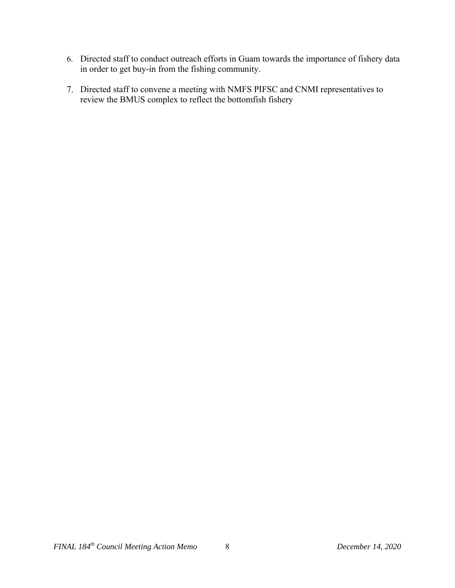- 6. Directed staff to conduct outreach efforts in Guam towards the importance of fishery data in order to get buy-in from the fishing community.
- 7. Directed staff to convene a meeting with NMFS PIFSC and CNMI representatives to review the BMUS complex to reflect the bottomfish fishery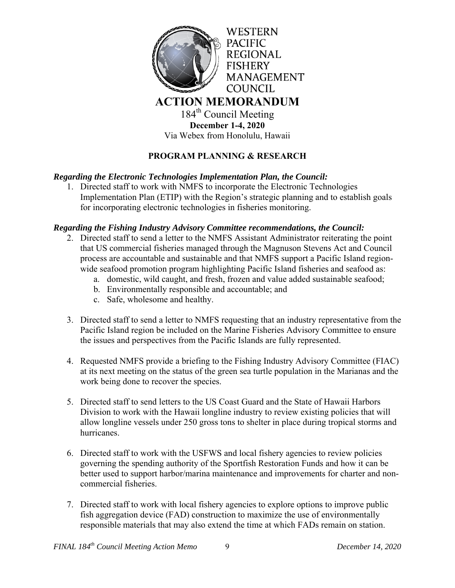

**December 1-4, 2020**  Via Webex from Honolulu, Hawaii

# **PROGRAM PLANNING & RESEARCH**

### *Regarding the Electronic Technologies Implementation Plan, the Council:*

1. Directed staff to work with NMFS to incorporate the Electronic Technologies Implementation Plan (ETIP) with the Region's strategic planning and to establish goals for incorporating electronic technologies in fisheries monitoring.

### *Regarding the Fishing Industry Advisory Committee recommendations, the Council:*

- 2. Directed staff to send a letter to the NMFS Assistant Administrator reiterating the point that US commercial fisheries managed through the Magnuson Stevens Act and Council process are accountable and sustainable and that NMFS support a Pacific Island regionwide seafood promotion program highlighting Pacific Island fisheries and seafood as:
	- a. domestic, wild caught, and fresh, frozen and value added sustainable seafood;
	- b. Environmentally responsible and accountable; and
	- c. Safe, wholesome and healthy.
- 3. Directed staff to send a letter to NMFS requesting that an industry representative from the Pacific Island region be included on the Marine Fisheries Advisory Committee to ensure the issues and perspectives from the Pacific Islands are fully represented.
- 4. Requested NMFS provide a briefing to the Fishing Industry Advisory Committee (FIAC) at its next meeting on the status of the green sea turtle population in the Marianas and the work being done to recover the species.
- 5. Directed staff to send letters to the US Coast Guard and the State of Hawaii Harbors Division to work with the Hawaii longline industry to review existing policies that will allow longline vessels under 250 gross tons to shelter in place during tropical storms and hurricanes.
- 6. Directed staff to work with the USFWS and local fishery agencies to review policies governing the spending authority of the Sportfish Restoration Funds and how it can be better used to support harbor/marina maintenance and improvements for charter and noncommercial fisheries.
- 7. Directed staff to work with local fishery agencies to explore options to improve public fish aggregation device (FAD) construction to maximize the use of environmentally responsible materials that may also extend the time at which FADs remain on station.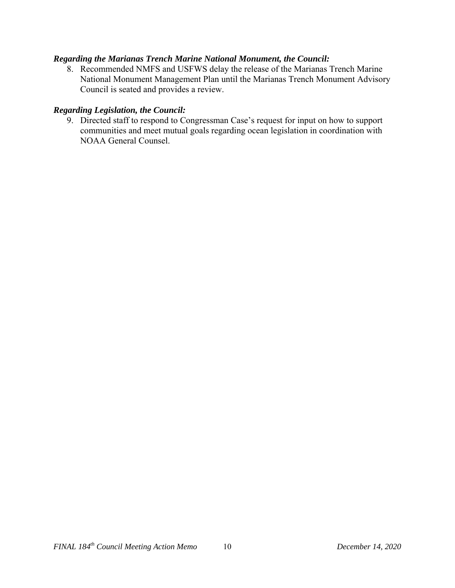#### *Regarding the Marianas Trench Marine National Monument, the Council:*

8. Recommended NMFS and USFWS delay the release of the Marianas Trench Marine National Monument Management Plan until the Marianas Trench Monument Advisory Council is seated and provides a review.

#### *Regarding Legislation, the Council:*

9. Directed staff to respond to Congressman Case's request for input on how to support communities and meet mutual goals regarding ocean legislation in coordination with NOAA General Counsel.